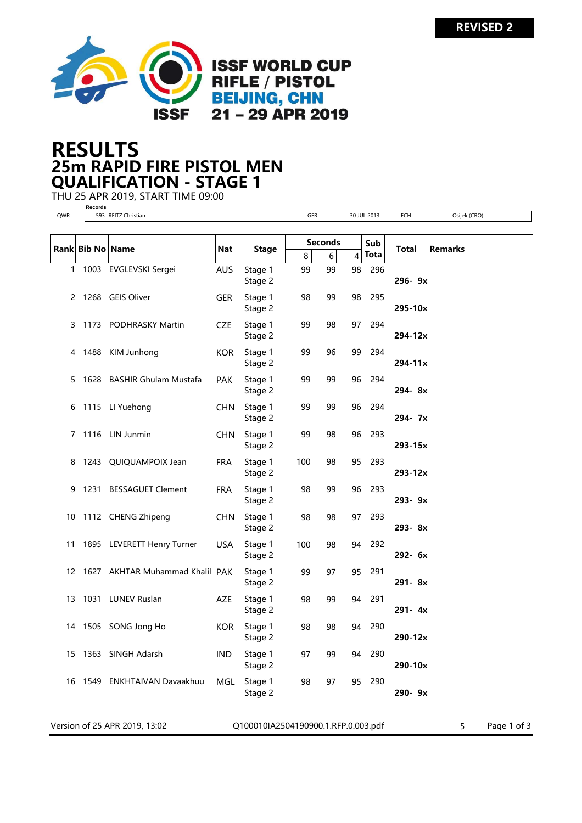

## 25m RAPID FIRE PISTOL MEN RESULTS QUALIFICATION - STAGE 1

THU 25 APR 2019, START TIME 09:00 **Records**

| QWR |                  | 593 REITZ Christian                |            |                    | GER            |                            |    | 30 JUL 2013 | ECH         | Osijek (CRO)   |
|-----|------------------|------------------------------------|------------|--------------------|----------------|----------------------------|----|-------------|-------------|----------------|
|     |                  |                                    |            |                    |                |                            |    |             |             |                |
|     | Rank Bib No Name |                                    | Nat        | <b>Stage</b>       | <b>Seconds</b> |                            |    | Sub         |             |                |
|     |                  |                                    |            |                    | 8              | 6                          | 4  | Tota        | Total       | <b>Remarks</b> |
|     |                  | 1 1003 EVGLEVSKI Sergei            | <b>AUS</b> | Stage 1<br>Stage 2 | 99             | 99<br>$\bar{a}$            | 98 | 296         | 296-9x      |                |
|     |                  | 2 1268 GEIS Oliver                 | <b>GER</b> | Stage 1<br>Stage 2 | 98             | 99<br>$\mathcal{A}$        | 98 | 295         | 295-10x     |                |
| 3   |                  | 1173 PODHRASKY Martin              | CZE        | Stage 1<br>Stage 2 | 99             | 98<br>$\sim$               | 97 | 294         | 294-12x     |                |
| 4   |                  | 1488 KIM Junhong                   | <b>KOR</b> | Stage 1<br>Stage 2 | 99             | 96<br>$\sim$               | 99 | 294         | $294 - 11x$ |                |
| 5   |                  | 1628 BASHIR Ghulam Mustafa         | <b>PAK</b> | Stage 1<br>Stage 2 | 99             | 99<br>$\sim$               | 96 | 294         | 294-8x      |                |
| 6   |                  | 1115 LI Yuehong                    | CHN.       | Stage 1<br>Stage 2 | 99             | 99<br>$\sim$               | 96 | 294         | 294-7x      |                |
| 7   |                  | 1116 LIN Junmin                    | CHN        | Stage 1<br>Stage 2 | 99             | 98                         | 96 | 293         | 293-15x     |                |
| 8   |                  | 1243 QUIQUAMPOIX Jean              | <b>FRA</b> | Stage 1<br>Stage 2 | 100            | 98                         | 95 | 293         | 293-12x     |                |
| 9   |                  | 1231 BESSAGUET Clement             | FRA        | Stage 1<br>Stage 2 | 98             | 99<br>$\sim$ $\sim$        | 96 | 293         | 293-9x      |                |
| 10  |                  | 1112 CHENG Zhipeng                 | CHN        | Stage 1<br>Stage 2 | 98             | 98                         | 97 | 293         | 293-8x      |                |
| 11  |                  | 1895 LEVERETT Henry Turner         | <b>USA</b> | Stage 1<br>Stage 2 | 100            | 98<br>$\sim$ $\sim$        | 94 | 292         | 292- 6x     |                |
|     |                  | 12 1627 AKHTAR Muhammad Khalil PAK |            | Stage 1<br>Stage 2 | 99             | 97                         | 95 | 291         | 291-8x      |                |
|     |                  | 13 1031 LUNEV Ruslan               | AZE        | Stage 1<br>Stage 2 | 98             | 99                         | 94 | 291         | 291-4x      |                |
| 14  |                  | 1505 SONG Jong Ho                  | <b>KOR</b> | Stage 1<br>Stage 2 | 98             | 98<br>$\alpha$             | 94 | 290         | 290-12x     |                |
| 15  |                  | 1363 SINGH Adarsh                  | <b>IND</b> | Stage 1<br>Stage 2 | 97             | 99<br>$\ddot{\phantom{a}}$ | 94 | 290         | 290-10x     |                |
| 16  |                  | 1549 ENKHTAIVAN Davaakhuu          | MGL        | Stage 1<br>Stage 2 | 98             | 97                         | 95 | 290         | 290-9x      |                |
|     |                  |                                    |            |                    |                |                            |    |             |             |                |

Version of 25 APR 2019, 13:02 <br>
Q100010IA2504190900.1.RFP.0.003.pdf 5 Page 1 of 3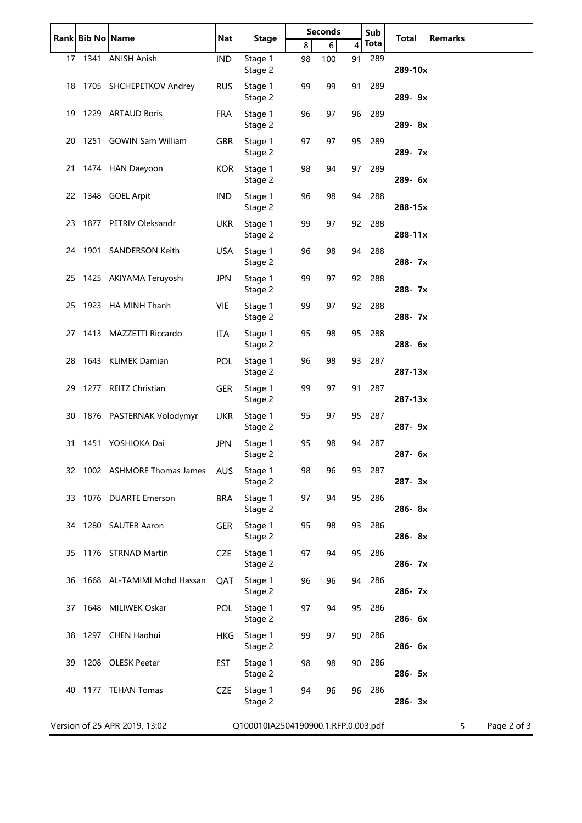|    | Rank Bib No Name |                               | Nat        | <b>Stage</b>                        | <b>Seconds</b> |                       |    | Sub         | <b>Total</b> | <b>Remarks</b>   |
|----|------------------|-------------------------------|------------|-------------------------------------|----------------|-----------------------|----|-------------|--------------|------------------|
|    |                  |                               |            |                                     | 8              | 6                     | 4  | <b>Tota</b> |              |                  |
|    |                  | 17 1341 ANISH Anish           | <b>IND</b> | Stage 1<br>Stage 2                  | 98             | 100<br>$\bar{a}$      | 91 | 289         | 289-10x      |                  |
|    |                  | 18 1705 SHCHEPETKOV Andrey    | <b>RUS</b> | Stage 1<br>Stage 2                  | 99             | 99                    | 91 | 289         | 289-9x       |                  |
|    |                  | 19 1229 ARTAUD Boris          | <b>FRA</b> | Stage 1<br>Stage 2                  | 96             | 97                    | 96 | 289         | 289-8x       |                  |
| 20 |                  | 1251 GOWIN Sam William        | GBR        | Stage 1<br>Stage 2                  | 97             | 97<br>$\sim 10$       | 95 | 289         | 289-7x       |                  |
|    |                  | 21 1474 HAN Daeyoon           | <b>KOR</b> | Stage 1<br>Stage 2                  | 98             | 94                    | 97 | 289         | 289- 6x      |                  |
|    |                  | 22 1348 GOEL Arpit            | <b>IND</b> | Stage 1<br>Stage 2                  | 96             | 98                    |    | 94 288      | 288-15x      |                  |
|    |                  | 23 1877 PETRIV Oleksandr      | <b>UKR</b> | Stage 1<br>Stage 2                  | 99             | 97<br>$\sim$ 10 $\mu$ | 92 | 288         | $288 - 11x$  |                  |
|    |                  | 24 1901 SANDERSON Keith       | <b>USA</b> | Stage 1<br>Stage 2                  | 96             | 98                    | 94 | 288         | 288-7x       |                  |
|    |                  | 25 1425 AKIYAMA Teruyoshi     | <b>JPN</b> | Stage 1<br>Stage 2                  | 99             | 97                    |    | 92 288      | 288-7x       |                  |
|    |                  | 25 1923 HA MINH Thanh         | <b>VIE</b> | Stage 1<br>Stage 2                  | 99             | 97<br>$\sim$ $\sim$   | 92 | 288         | 288-7x       |                  |
|    |                  | 27 1413 MAZZETTI Riccardo     | <b>ITA</b> | Stage 1<br>Stage 2                  | 95             | 98<br>$\sim$ $\sim$   | 95 | 288         | 288-6x       |                  |
|    |                  | 28 1643 KLIMEK Damian         | <b>POL</b> | Stage 1<br>Stage 2                  | 96             | 98<br>$\sim$ $\sim$   | 93 | 287         | $287 - 13x$  |                  |
|    |                  | 29 1277 REITZ Christian       | GER        | Stage 1<br>Stage 2                  | 99             | 97                    | 91 | 287         | $287 - 13x$  |                  |
|    |                  | 30 1876 PASTERNAK Volodymyr   | <b>UKR</b> | Stage 1<br>Stage 2                  | 95             | 97<br>$\sim$ $\sim$   | 95 | 287         | 287-9x       |                  |
| 31 |                  | 1451 YOSHIOKA Dai             | <b>JPN</b> | Stage 1<br>Stage 2                  | 95             | 98<br>$\alpha$        | 94 | 287         | $287 - 6x$   |                  |
|    |                  | 32 1002 ASHMORE Thomas James  | <b>AUS</b> | Stage 1<br>Stage 2                  | 98             | 96                    | 93 | 287         | 287-3x       |                  |
|    |                  | 33 1076 DUARTE Emerson        | <b>BRA</b> | Stage 1<br>Stage 2                  | 97             | 94                    | 95 | 286         | 286-8x       |                  |
|    |                  | 34 1280 SAUTER Aaron          | <b>GER</b> | Stage 1<br>Stage 2                  | 95             | 98                    | 93 | 286         | 286-8x       |                  |
|    |                  | 35 1176 STRNAD Martin         | <b>CZE</b> | Stage 1<br>Stage 2                  | 97             | 94                    | 95 | 286         | 286-7x       |                  |
| 36 |                  | 1668 AL-TAMIMI Mohd Hassan    | QAT        | Stage 1<br>Stage 2                  | 96             | 96                    | 94 | 286         | 286-7x       |                  |
|    |                  | 37 1648 MILIWEK Oskar         | POL        | Stage 1<br>Stage 2                  | 97             | 94                    | 95 | 286         | 286- 6x      |                  |
|    |                  | 38 1297 CHEN Haohui           | HKG        | Stage 1<br>Stage 2                  | 99             | 97                    | 90 | 286         | 286- 6x      |                  |
| 39 |                  | 1208 OLESK Peeter             | EST        | Stage 1<br>Stage 2                  | 98             | 98                    | 90 | 286         | 286- 5x      |                  |
| 40 |                  | 1177 TEHAN Tomas              | <b>CZE</b> | Stage 1<br>Stage 2                  | 94             | 96                    | 96 | 286         | 286-3x       |                  |
|    |                  | Version of 25 APR 2019, 13:02 |            | Q100010IA2504190900.1.RFP.0.003.pdf |                |                       |    |             |              | Page 2 of 3<br>5 |

j.